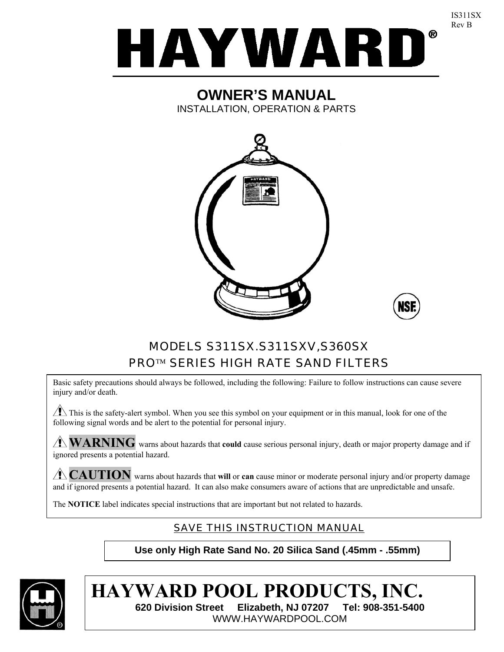

## **OWNER'S MANUAL**  INSTALLATION, OPERATION & PARTS





IS311SX Rev B

# MODELS S311SX.S311SXV,S360SX PRO™ SERIES HIGH RATE SAND FILTERS

Basic safety precautions should always be followed, including the following: Failure to follow instructions can cause severe injury and/or death.

 $\sqrt{1}$  This is the safety-alert symbol. When you see this symbol on your equipment or in this manual, look for one of the following signal words and be alert to the potential for personal injury.

**WARNING** warns about hazards that **could** cause serious personal injury, death or major property damage and if ignored presents a potential hazard.

**CAUTION** warns about hazards that **will** or **can** cause minor or moderate personal injury and/or property damage and if ignored presents a potential hazard. It can also make consumers aware of actions that are unpredictable and unsafe.

The **NOTICE** label indicates special instructions that are important but not related to hazards.

# SAVE THIS INSTRUCTION MANUAL

**Use only High Rate Sand No. 20 Silica Sand (.45mm - .55mm)** 



**HAYWARD POOL PRODUCTS, INC. 620 Division Street Elizabeth, NJ 07207 Tel: 908-351-5400**  WWW.HAYWARDPOOL.COM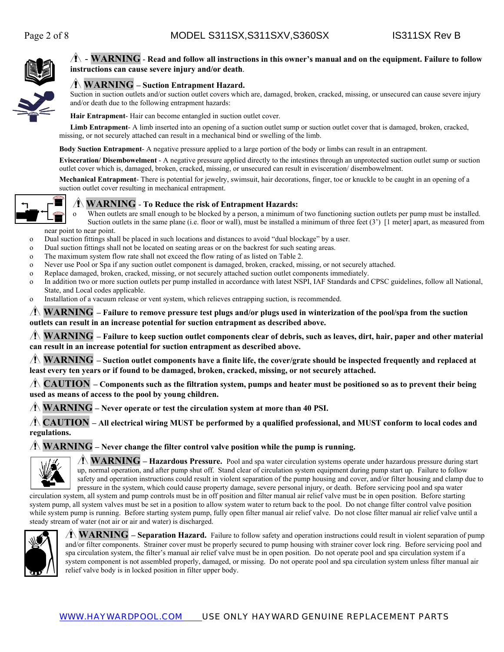

### - **WARNING** - **Read and follow all instructions in this owner's manual and on the equipment. Failure to follow instructions can cause severe injury and/or death**.

#### **WARNING – Suction Entrapment Hazard.**

Suction in suction outlets and/or suction outlet covers which are, damaged, broken, cracked, missing, or unsecured can cause severe injury and/or death due to the following entrapment hazards:

**Hair Entrapment**- Hair can become entangled in suction outlet cover.

**Limb Entrapment**- A limb inserted into an opening of a suction outlet sump or suction outlet cover that is damaged, broken, cracked, missing, or not securely attached can result in a mechanical bind or swelling of the limb.

**Body Suction Entrapment**- A negative pressure applied to a large portion of the body or limbs can result in an entrapment.

**Evisceration/ Disembowelment** - A negative pressure applied directly to the intestines through an unprotected suction outlet sump or suction outlet cover which is, damaged, broken, cracked, missing, or unsecured can result in evisceration/ disembowelment.

**Mechanical Entrapment**- There is potential for jewelry, swimsuit, hair decorations, finger, toe or knuckle to be caught in an opening of a suction outlet cover resulting in mechanical entrapment.



#### **WARNING** - **To Reduce the risk of Entrapment Hazards:**

o When outlets are small enough to be blocked by a person, a minimum of two functioning suction outlets per pump must be installed. Suction outlets in the same plane (i.e. floor or wall), must be installed a minimum of three feet (3') [1 meter] apart, as measured from near point to near point.

- o Dual suction fittings shall be placed in such locations and distances to avoid "dual blockage" by a user.
- o Dual suction fittings shall not be located on seating areas or on the backrest for such seating areas.
- o The maximum system flow rate shall not exceed the flow rating of as listed on Table 2.
- o Never use Pool or Spa if any suction outlet component is damaged, broken, cracked, missing, or not securely attached.
- o Replace damaged, broken, cracked, missing, or not securely attached suction outlet components immediately.
- o In addition two or more suction outlets per pump installed in accordance with latest NSPI, IAF Standards and CPSC guidelines, follow all National, State, and Local codes applicable.
- o Installation of a vacuum release or vent system, which relieves entrapping suction, is recommended.

#### **WARNING – Failure to remove pressure test plugs and/or plugs used in winterization of the pool/spa from the suction outlets can result in an increase potential for suction entrapment as described above.**

**WARNING – Failure to keep suction outlet components clear of debris, such as leaves, dirt, hair, paper and other material can result in an increase potential for suction entrapment as described above.**

 $\Lambda$  **WARNING** – Suction outlet components have a finite life, the cover/grate should be inspected frequently and replaced at **least every ten years or if found to be damaged, broken, cracked, missing, or not securely attached.**

**CAUTION – Components such as the filtration system, pumps and heater must be positioned so as to prevent their being used as means of access to the pool by young children.**

**WARNING – Never operate or test the circulation system at more than 40 PSI.**

**CAUTION – All electrical wiring MUST be performed by a qualified professional, and MUST conform to local codes and regulations.**

#### **WARNING – Never change the filter control valve position while the pump is running.**



**WARNING – Hazardous Pressure.** Pool and spa water circulation systems operate under hazardous pressure during start up, normal operation, and after pump shut off. Stand clear of circulation system equipment during pump start up. Failure to follow safety and operation instructions could result in violent separation of the pump housing and cover, and/or filter housing and clamp due to pressure in the system, which could cause property damage, severe personal injury, or death. Before servicing pool and spa water

circulation system, all system and pump controls must be in off position and filter manual air relief valve must be in open position. Before starting system pump, all system valves must be set in a position to allow system water to return back to the pool. Do not change filter control valve position while system pump is running. Before starting system pump, fully open filter manual air relief valve. Do not close filter manual air relief valve until a steady stream of water (not air or air and water) is discharged.



**WARNING – Separation Hazard.** Failure to follow safety and operation instructions could result in violent separation of pump and/or filter components. Strainer cover must be properly secured to pump housing with strainer cover lock ring. Before servicing pool and spa circulation system, the filter's manual air relief valve must be in open position. Do not operate pool and spa circulation system if a system component is not assembled properly, damaged, or missing. Do not operate pool and spa circulation system unless filter manual air relief valve body is in locked position in filter upper body.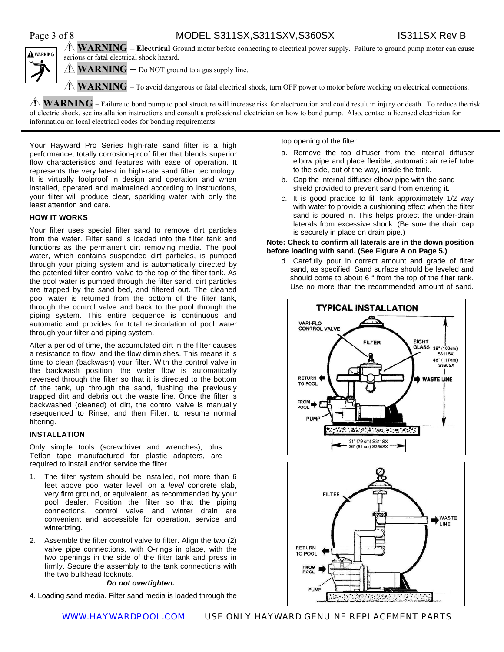### Page 3 of 8 MODEL S311SX,S311SXV,S360SX IS311SX Rev B **WARNING – Electrical** Ground motor before connecting to electrical power supply. Failure to ground pump motor can cause



serious or fatal electrical shock hazard.

 $\Lambda$  **WARNING** – Do NOT ground to a gas supply line.

**WARNING** – To avoid dangerous or fatal electrical shock, turn OFF power to motor before working on electrical connections.

**WARNING** – Failure to bond pump to pool structure will increase risk for electrocution and could result in injury or death. To reduce the risk of electric shock, see installation instructions and consult a professional electrician on how to bond pump. Also, contact a licensed electrician for information on local electrical codes for bonding requirements.

Your Hayward Pro Series high-rate sand filter is a high performance, totally corrosion-proof filter that blends superior flow characteristics and features with ease of operation. It represents the very latest in high-rate sand filter technology. It is virtually foolproof in design and operation and when installed, operated and maintained according to instructions, your filter will produce clear, sparkling water with only the least attention and care.

#### **HOW IT WORKS**

Your filter uses special filter sand to remove dirt particles from the water. Filter sand is loaded into the filter tank and functions as the permanent dirt removing media. The pool water, which contains suspended dirt particles, is pumped through your piping system and is automatically directed by the patented filter control valve to the top of the filter tank. As the pool water is pumped through the filter sand, dirt particles are trapped by the sand bed, and filtered out. The cleaned pool water is returned from the bottom of the filter tank, through the control valve and back to the pool through the piping system. This entire sequence is continuous and automatic and provides for total recirculation of pool water through your filter and piping system.

After a period of time, the accumulated dirt in the filter causes a resistance to flow, and the flow diminishes. This means it is time to clean (backwash) your filter. With the control valve in the backwash position, the water flow is automatically reversed through the filter so that it is directed to the bottom of the tank, up through the sand, flushing the previously trapped dirt and debris out the waste line. Once the filter is backwashed (cleaned) of dirt, the control valve is manually resequenced to Rinse, and then Filter, to resume normal filtering.

#### **INSTALLATION**

Only simple tools (screwdriver and wrenches), plus Teflon tape manufactured for plastic adapters, are required to install and/or service the filter.

- 1. The filter system should be installed, not more than 6 feet above pool water level, on a *level* concrete slab, very firm ground, or equivalent, as recommended by your pool dealer. Position the filter so that the piping connections, control valve and winter drain are convenient and accessible for operation, service and winterizing.
- 2. Assemble the filter control valve to filter. Align the two (2) valve pipe connections, with O-rings in place, with the two openings in the side of the filter tank and press in firmly. Secure the assembly to the tank connections with the two bulkhead locknuts.

#### *Do not overtighten.*

4. Loading sand media. Filter sand media is loaded through the

top opening of the filter.

- a. Remove the top diffuser from the internal diffuser elbow pipe and place flexible, automatic air relief tube to the side, out of the way, inside the tank.
- b. Cap the internal diffuser elbow pipe with the sand shield provided to prevent sand from entering it.
- c. It is good practice to fill tank approximately 1/2 way with water to provide a cushioning effect when the filter sand is poured in. This helps protect the under-drain laterals from excessive shock. (Be sure the drain cap is securely in place on drain pipe.)

#### **Note: Check to confirm all laterals are in the down position before loading with sand. (See Figure A on Page 5.)**

d. Carefully pour in correct amount and grade of filter sand, as specified. Sand surface should be leveled and should come to about 6 " from the top of the filter tank. Use no more than the recommended amount of sand.



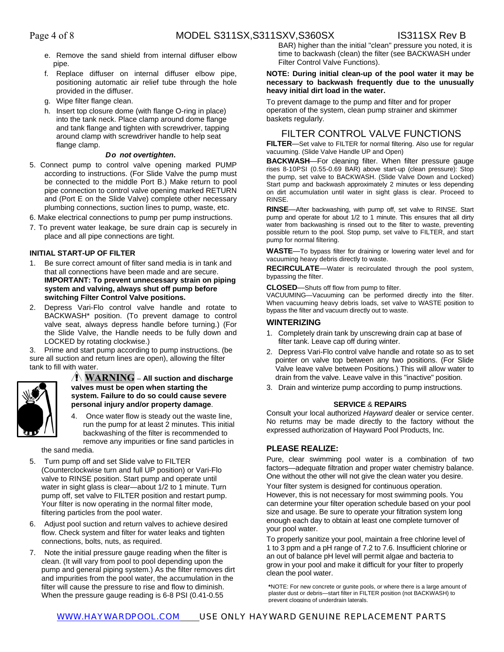- e. Remove the sand shield from internal diffuser elbow pipe.
- f. Replace diffuser on internal diffuser elbow pipe, positioning automatic air relief tube through the hole provided in the diffuser.
- g. Wipe filter flange clean.
- h. Insert top closure dome (with flange O-ring in place) into the tank neck. Place clamp around dome flange and tank flange and tighten with screwdriver, tapping around clamp with screwdriver handle to help seat flange clamp.

#### *Do not overtighten***.**

5. Connect pump to control valve opening marked PUMP according to instructions. (For Slide Valve the pump must be connected to the middle Port B.) Make return to pool pipe connection to control valve opening marked RETURN and (Port E on the Slide Valve) complete other necessary plumbing connections, suction lines to pump, waste, etc.

6. Make electrical connections to pump per pump instructions.

7. To prevent water leakage, be sure drain cap is securely in place and all pipe connections are tight.

#### **INITIAL START-UP OF FILTER**

- 1. Be sure correct amount of filter sand media is in tank and that all connections have been made and are secure. **IMPORTANT: To prevent unnecessary strain on piping system and valving, always shut off pump before switching Filter Control Valve positions.**
- 2. Depress Vari-Flo control valve handle and rotate to BACKWASH\* position. (To prevent damage to control valve seat, always depress handle before turning.) (For the Slide Valve, the Handle needs to be fully down and LOCKED by rotating clockwise.)

3. Prime and start pump according to pump instructions. (be sure all suction and return lines are open), allowing the filter tank to fill with water.



#### **WARNING – All suction and discharge valves must be open when starting the system. Failure to do so could cause severe personal injury and/or property damage**.

4. Once water flow is steady out the waste line, run the pump for at least 2 minutes. This initial backwashing of the filter is recommended to remove any impurities or fine sand particles in

the sand media.

- 5. Turn pump off and set Slide valve to FILTER (Counterclockwise turn and full UP position) or Vari-Flo valve to RINSE position. Start pump and operate until water in sight glass is clear—about 1/2 to 1 minute. Turn pump off, set valve to FILTER position and restart pump. Your filter is now operating in the normal filter mode, filtering particles from the pool water.
- 6. Adjust pool suction and return valves to achieve desired flow. Check system and filter for water leaks and tighten connections, bolts, nuts, as required.
- 7. Note the initial pressure gauge reading when the filter is clean. (It will vary from pool to pool depending upon the pump and general piping system.) As the filter removes dirt and impurities from the pool water, the accumulation in the filter will cause the pressure to rise and flow to diminish. When the pressure gauge reading is 6-8 PSI (0.41-0.55

BAR) higher than the initial "clean" pressure you noted, it is time to backwash (clean) the filter (see BACKWASH under Filter Control Valve Functions).

#### **NOTE: During initial clean-up of the pool water it may be necessary to backwash frequently due to the unusually heavy initial dirt load in the water.**

To prevent damage to the pump and filter and for proper operation of the system, clean pump strainer and skimmer baskets regularly.

### FILTER CONTROL VALVE FUNCTIONS

**FILTER**—Set valve to FILTER for normal filtering. Also use for regular vacuuming. (Slide Valve Handle UP and Open)

**BACKWASH**—For cleaning filter. When filter pressure gauge rises 8-10PSI (0.55-0.69 BAR) above start-up (clean pressure): Stop the pump, set valve to BACKWASH. (Slide Valve Down and Locked) Start pump and backwash approximately 2 minutes or less depending on dirt accumulation until water in sight glass is clear. Proceed to RINSE.

**RINSE**—After backwashing, with pump off, set valve to RINSE. Start pump and operate for about 1/2 to 1 minute. This ensures that all dirty water from backwashing is rinsed out to the filter to waste, preventing possible return to the pool. Stop pump, set valve to FILTER, and start pump for normal filtering.

**WASTE**—To bypass filter for draining or lowering water level and for vacuuming heavy debris directly to waste.

**RECIRCULATE**—Water is recirculated through the pool system, bypassing the filter.

**CLOSED**—Shuts off flow from pump to filter.

VACUUMING—Vacuuming can be performed directly into the filter. When vacuuming heavy debris loads, set valve to WASTE position to bypass the filter and vacuum directly out to waste.

#### **WINTERIZING**

- 1. Completely drain tank by unscrewing drain cap at base of filter tank. Leave cap off during winter.
- 2. Depress Vari-Flo control valve handle and rotate so as to set pointer on valve top between any two positions. (For Slide Valve leave valve between Positions.) This will allow water to drain from the valve. Leave valve in this "inactive" position.
- 3. Drain and winterize pump according to pump instructions.

#### **SERVICE** & **REPAIRS**

Consult your local authorized *Hayward* dealer or service center. No returns may be made directly to the factory without the expressed authorization of Hayward Pool Products, Inc.

### **PLEASE REALIZE:**

Pure, clear swimming pool water is a combination of two factors—adequate filtration and proper water chemistry balance. One without the other will not give the clean water you desire. Your filter system is designed for continuous operation. However, this is not necessary for most swimming pools. You can determine your filter operation schedule based on your pool size and usage. Be sure to operate your filtration system long enough each day to obtain at least one complete turnover of your pool water.

To properly sanitize your pool, maintain a free chlorine level of 1 to 3 ppm and a pH range of 7.2 to 7.6. Insufficient chlorine or an out of balance pH level will permit algae and bacteria to grow in your pool and make it difficult for your filter to properly clean the pool water.

**\***NOTE: For new concrete or gunite pools, or where there is a large amount of plaster dust or debris—start filter in FILTER position (not BACKWASH) to prevent clogging of underdrain laterals.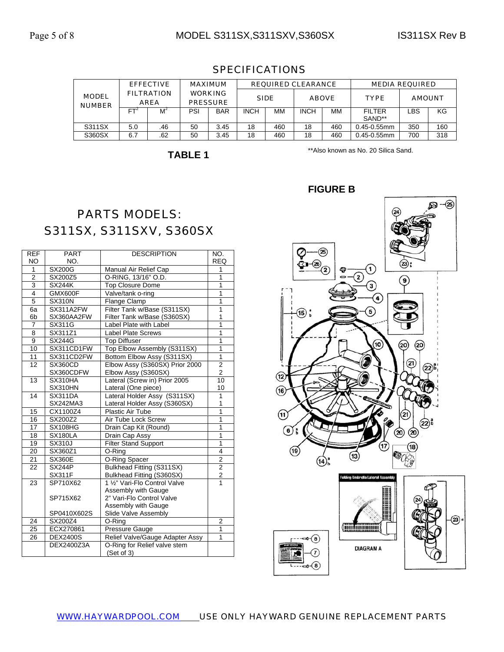|                               | <b>EFFECTIVE</b> |                                  | <b>MAXIMUM</b> |                                   | <b>REQUIRED CLEARANCE</b> |             |              |     | <b>MEDIA REQUIRED</b> |               |     |
|-------------------------------|------------------|----------------------------------|----------------|-----------------------------------|---------------------------|-------------|--------------|-----|-----------------------|---------------|-----|
| <b>MODEL</b><br><b>NUMBER</b> |                  | <b>FILTRATION</b><br><b>AREA</b> |                | <b>WORKING</b><br><b>PRESSURE</b> |                           | <b>SIDE</b> | <b>ABOVE</b> |     | <b>TYPE</b>           | <b>AMOUNT</b> |     |
|                               | <b>FT</b>        | Mʻ                               | PSI            | <b>BAR</b>                        | <b>INCH</b>               | MМ          | <b>INCH</b>  | MМ  | <b>FILTER</b>         | LBS           | KG  |
|                               |                  |                                  |                |                                   |                           |             |              |     | SAND**                |               |     |
| S311SX                        | 5.0              | .46                              | 50             | 3.45                              | 18                        | 460         | 18           | 460 | $0.45 - 0.55$ mm      | 350           | 160 |
| S360SX                        | 6.7              | .62                              | 50             | 3.45                              | 18                        | 460         | 18           | 460 | $0.45 - 0.55$ mm      | 700           | 318 |

### SPECIFICATIONS

**TABLE 1** 

\*\*Also known as No. 20 Silica Sand.

# PARTS MODELS: S311SX, S311SXV, S360SX

| <b>REF</b>      | <b>PART</b>     | <b>DESCRIPTION</b>              | NO.                     |
|-----------------|-----------------|---------------------------------|-------------------------|
| NO.             | NO.             |                                 | <b>REQ</b>              |
| 1               | <b>SX200G</b>   | Manual Air Relief Cap           | 1                       |
| $\overline{2}$  | SX200Z5         | O-RING, 13/16" O.D.             | 1                       |
| $\overline{3}$  | <b>SX244K</b>   | <b>Top Closure Dome</b>         | 1                       |
| 4               | GMX600F         | Valve/tank o-ring               | 1                       |
| 5               | <b>SX310N</b>   | Flange Clamp                    | 1                       |
| 6a              | SX311A2FW       | Filter Tank w/Base (S311SX)     | 1                       |
| 6b              | SX360AA2FW      | Filter Tank w/Base (S360SX)     | 1                       |
| $\overline{7}$  | SX311G          | Label Plate with Label          | $\overline{1}$          |
| 8               | SX311Z1         | <b>Label Plate Screws</b>       | $\overline{1}$          |
| $\overline{9}$  | <b>SX244G</b>   | <b>Top Diffuser</b>             | $\overline{1}$          |
| 10              | SX311CD1FW      | Top Elbow Assembly (S311SX)     | $\overline{1}$          |
| 11              | SX311CD2FW      | Bottom Elbow Assy (S311SX)      | $\overline{1}$          |
| 12              | <b>SX360CD</b>  | Elbow Assy (S360SX) Prior 2000  | $\overline{2}$          |
|                 | SX360CDFW       | Elbow Assy (S360SX)             | $\overline{c}$          |
| 13              | SX310HA         | Lateral (Screw in) Prior 2005   | 10                      |
|                 | SX310HN         | Lateral (One piece)             | 10                      |
| $\overline{14}$ | SX311DA         | Lateral Holder Assy (S311SX)    | 1                       |
|                 | SX242MA3        | Lateral Holder Assy (S360SX)    | 1                       |
| 15              | CX1100Z4        | Plastic Air Tube                | $\overline{1}$          |
| 16              | SX200Z2         | Air Tube Lock Screw             | $\overline{1}$          |
| $\overline{17}$ | SX108HG         | Drain Cap Kit (Round)           | $\overline{1}$          |
| 18              | SX180LA         | Drain Cap Assy                  | 1                       |
| 19              | <b>SX310J</b>   | <b>Filter Stand Support</b>     | $\overline{\mathbf{1}}$ |
| 20              | SX360Z1         | O-Ring                          | 4                       |
| 21              | <b>SX360E</b>   | O-Ring Spacer                   | $\overline{c}$          |
| 22              | <b>SX244P</b>   | Bulkhead Fitting (S311SX)       | $\overline{2}$          |
|                 | <b>SX311F</b>   | Bulkhead Fitting (S360SX)       | $\mathbf 2$             |
| 23              | SP710X62        | 1 %" Vari-Flo Control Valve     | $\overline{1}$          |
|                 |                 | Assembly with Gauge             |                         |
|                 | SP715X62        | 2" Vari-Flo Control Valve       |                         |
|                 |                 | Assembly with Gauge             |                         |
|                 | SP0410X602S     | Slide Valve Assembly            |                         |
| 24              | SX200Z4         | O-Ring                          | $\overline{2}$          |
| 25              | ECX270861       | Pressure Gauge                  | 1                       |
| 26              | <b>DEX2400S</b> | Relief Valve/Gauge Adapter Assy | 1                       |
|                 | DEX2400Z3A      | O-Ring for Relief valve stem    |                         |
|                 |                 | (Set of 3)                      |                         |

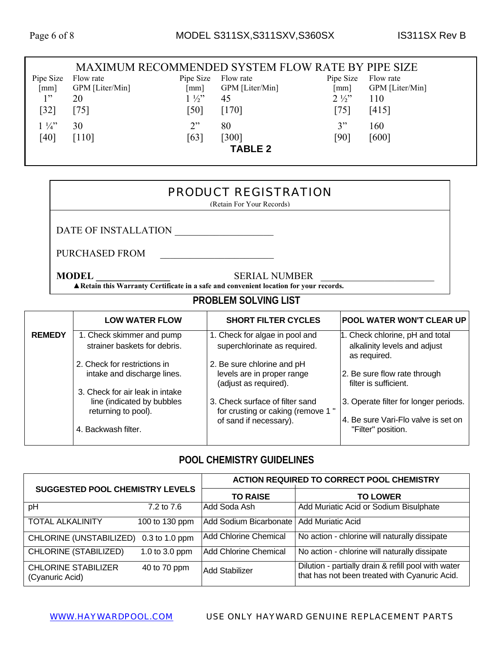#### MAXIMUM RECOMMENDED SYSTEM FLOW RATE BY PIPE SIZE Pipe Size [mm] Flow rate GPM [Liter/Min] Pipe Size Flow rate [mm] GPM [Liter/Min] Pipe Size Flow rate [mm] GPM [Liter/Min]  $1"$ [32] 20 [75]  $1\frac{1}{2}$ " [50] 45 [170]  $2\frac{1}{2}$ [75] 110 [415]  $1\frac{1}{4}$ [40] 30 [110]  $2"$ [63] 80 [300] 3" [90] 160 [600] **TABLE 2**

### PRODUCT REGISTRATION

(Retain For Your Records)

DATE OF INSTALLATION

PURCHASED FROM \_\_\_\_\_\_\_\_\_\_\_\_\_\_\_\_\_\_\_\_\_\_\_

**MODEL SERIAL NUMBER** 

**▲Retain this Warranty Certificate in a safe and convenient location for your records.**

## **PROBLEM SOLVING LIST**

|               | <b>LOW WATER FLOW</b>                                                                | <b>SHORT FILTER CYCLES</b>                                                        | <b>POOL WATER WON'T CLEAR UP</b>                                                |
|---------------|--------------------------------------------------------------------------------------|-----------------------------------------------------------------------------------|---------------------------------------------------------------------------------|
| <b>REMEDY</b> | 1. Check skimmer and pump<br>strainer baskets for debris.                            | 1. Check for algae in pool and<br>superchlorinate as required.                    | 1. Check chlorine, pH and total<br>alkalinity levels and adjust<br>as required. |
|               | 2. Check for restrictions in<br>intake and discharge lines.                          | 2. Be sure chlorine and pH<br>levels are in proper range<br>(adjust as required). | 2. Be sure flow rate through<br>filter is sufficient.                           |
|               | 3. Check for air leak in intake<br>line (indicated by bubbles<br>returning to pool). | 3. Check surface of filter sand<br>for crusting or caking (remove 1"              | 3. Operate filter for longer periods.                                           |
|               | 4. Backwash filter.                                                                  | of sand if necessary).                                                            | 4. Be sure Vari-Flo valve is set on<br>"Filter" position.                       |

### **POOL CHEMISTRY GUIDELINES**

| <b>SUGGESTED POOL CHEMISTRY LEVELS</b>        |                  | <b>ACTION REQUIRED TO CORRECT POOL CHEMISTRY</b> |                                                                                                      |  |  |
|-----------------------------------------------|------------------|--------------------------------------------------|------------------------------------------------------------------------------------------------------|--|--|
|                                               |                  | <b>TO RAISE</b>                                  | <b>TO LOWER</b>                                                                                      |  |  |
| pH                                            | 7.2 to 7.6       | Add Soda Ash                                     | Add Muriatic Acid or Sodium Bisulphate                                                               |  |  |
| <b>TOTAL ALKALINITY</b>                       | 100 to 130 ppm   | Add Sodium Bicarbonate                           | <b>Add Muriatic Acid</b>                                                                             |  |  |
| CHLORINE (UNSTABILIZED)                       | $0.3$ to 1.0 ppm | <b>Add Chlorine Chemical</b>                     | No action - chlorine will naturally dissipate                                                        |  |  |
| <b>CHLORINE (STABILIZED)</b>                  | 1.0 to 3.0 ppm   | <b>Add Chlorine Chemical</b>                     | No action - chlorine will naturally dissipate                                                        |  |  |
| <b>CHLORINE STABILIZER</b><br>(Cyanuric Acid) | 40 to 70 ppm     | Add Stabilizer                                   | Dilution - partially drain & refill pool with water<br>that has not been treated with Cyanuric Acid. |  |  |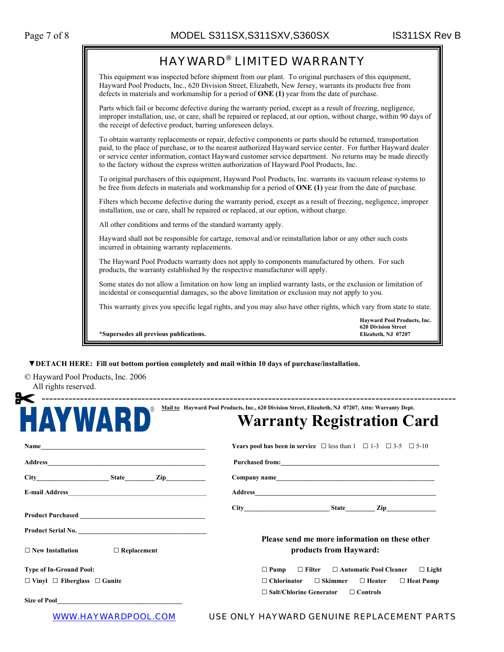

 **▼DETACH HERE: Fill out bottom portion completely and mail within 10 days of purchase/installation.** 

© Hayward Pool Products, Inc. 2006 All rights reserved.

| HAYWARD                                       | <b>Warranty Registration Card</b>                                                          |  |  |
|-----------------------------------------------|--------------------------------------------------------------------------------------------|--|--|
|                                               | <b>Years pool has been in service</b> $\Box$ less than 1 $\Box$ 1-3 $\Box$ 3-5 $\Box$ 5-10 |  |  |
|                                               |                                                                                            |  |  |
|                                               |                                                                                            |  |  |
|                                               |                                                                                            |  |  |
|                                               |                                                                                            |  |  |
| Product Serial No.                            |                                                                                            |  |  |
| $\Box$ Replacement<br>$\Box$ New Installation | Please send me more information on these other<br>products from Hayward:                   |  |  |
| <b>Type of In-Ground Pool:</b>                | $\Box$ Filter $\Box$ Automatic Pool Cleaner<br>$\Box$ Pump<br>$\Box$ Light                 |  |  |
| $\Box$ Vinyl $\Box$ Fiberglass $\Box$ Gunite  | $\Box$ Chlorinator<br>$\Box$ Skimmer<br>$\Box$ Heater<br>$\Box$ Heat Pump                  |  |  |
|                                               | $\Box$ Salt/Chlorine Generator<br>$\Box$ Controls                                          |  |  |